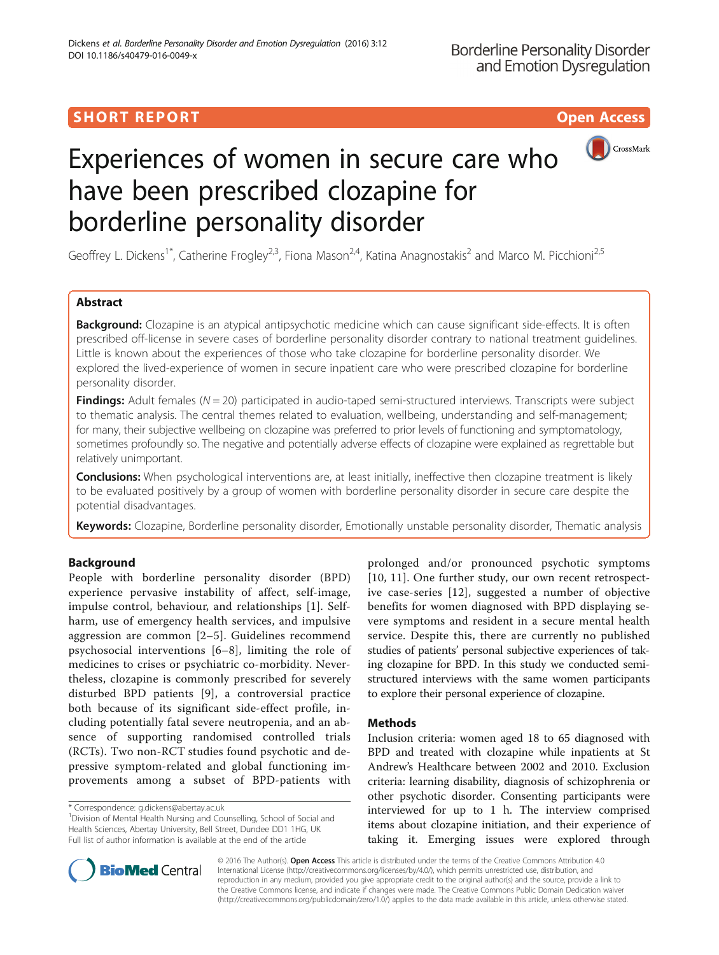## **SHORT REPORT CONTRACT CONTRACT CONTRACT CONTRACT CONTRACT CONTRACT CONTRACT CONTRACT CONTRACT CONTRACT CONTRACT CONTRACT CONTRACT CONTRACT CONTRACT CONTRACT CONTRACT CONTRACT CONTRACT CONTRACT CONTRACT CONTRACT CONTRACT C**



# Experiences of women in secure care who have been prescribed clozapine for borderline personality disorder

Geoffrey L. Dickens<sup>1\*</sup>, Catherine Frogley<sup>2,3</sup>, Fiona Mason<sup>2,4</sup>, Katina Anagnostakis<sup>2</sup> and Marco M. Picchioni<sup>2,5</sup>

## Abstract

Background: Clozapine is an atypical antipsychotic medicine which can cause significant side-effects. It is often prescribed off-license in severe cases of borderline personality disorder contrary to national treatment guidelines. Little is known about the experiences of those who take clozapine for borderline personality disorder. We explored the lived-experience of women in secure inpatient care who were prescribed clozapine for borderline personality disorder.

Findings: Adult females ( $N = 20$ ) participated in audio-taped semi-structured interviews. Transcripts were subject to thematic analysis. The central themes related to evaluation, wellbeing, understanding and self-management; for many, their subjective wellbeing on clozapine was preferred to prior levels of functioning and symptomatology, sometimes profoundly so. The negative and potentially adverse effects of clozapine were explained as regrettable but relatively unimportant.

**Conclusions:** When psychological interventions are, at least initially, ineffective then clozapine treatment is likely to be evaluated positively by a group of women with borderline personality disorder in secure care despite the potential disadvantages.

Keywords: Clozapine, Borderline personality disorder, Emotionally unstable personality disorder, Thematic analysis

## Background

People with borderline personality disorder (BPD) experience pervasive instability of affect, self-image, impulse control, behaviour, and relationships [[1](#page-3-0)]. Selfharm, use of emergency health services, and impulsive aggression are common [[2](#page-3-0)–[5](#page-3-0)]. Guidelines recommend psychosocial interventions [\[6](#page-3-0)–[8\]](#page-3-0), limiting the role of medicines to crises or psychiatric co-morbidity. Nevertheless, clozapine is commonly prescribed for severely disturbed BPD patients [[9\]](#page-3-0), a controversial practice both because of its significant side-effect profile, including potentially fatal severe neutropenia, and an absence of supporting randomised controlled trials (RCTs). Two non-RCT studies found psychotic and depressive symptom-related and global functioning improvements among a subset of BPD-patients with

prolonged and/or pronounced psychotic symptoms [[10](#page-3-0), [11\]](#page-3-0). One further study, our own recent retrospective case-series [[12\]](#page-3-0), suggested a number of objective benefits for women diagnosed with BPD displaying severe symptoms and resident in a secure mental health service. Despite this, there are currently no published studies of patients' personal subjective experiences of taking clozapine for BPD. In this study we conducted semistructured interviews with the same women participants to explore their personal experience of clozapine.

## **Methods**

Inclusion criteria: women aged 18 to 65 diagnosed with BPD and treated with clozapine while inpatients at St Andrew's Healthcare between 2002 and 2010. Exclusion criteria: learning disability, diagnosis of schizophrenia or other psychotic disorder. Consenting participants were interviewed for up to 1 h. The interview comprised items about clozapine initiation, and their experience of taking it. Emerging issues were explored through



© 2016 The Author(s). Open Access This article is distributed under the terms of the Creative Commons Attribution 4.0 International License [\(http://creativecommons.org/licenses/by/4.0/](http://creativecommons.org/licenses/by/4.0/)), which permits unrestricted use, distribution, and reproduction in any medium, provided you give appropriate credit to the original author(s) and the source, provide a link to the Creative Commons license, and indicate if changes were made. The Creative Commons Public Domain Dedication waiver [\(http://creativecommons.org/publicdomain/zero/1.0/](http://creativecommons.org/publicdomain/zero/1.0/)) applies to the data made available in this article, unless otherwise stated.

<sup>\*</sup> Correspondence: [g.dickens@abertay.ac.uk](mailto:g.dickens@abertay.ac.uk) <sup>1</sup>

<sup>&</sup>lt;sup>1</sup> Division of Mental Health Nursing and Counselling, School of Social and Health Sciences, Abertay University, Bell Street, Dundee DD1 1HG, UK Full list of author information is available at the end of the article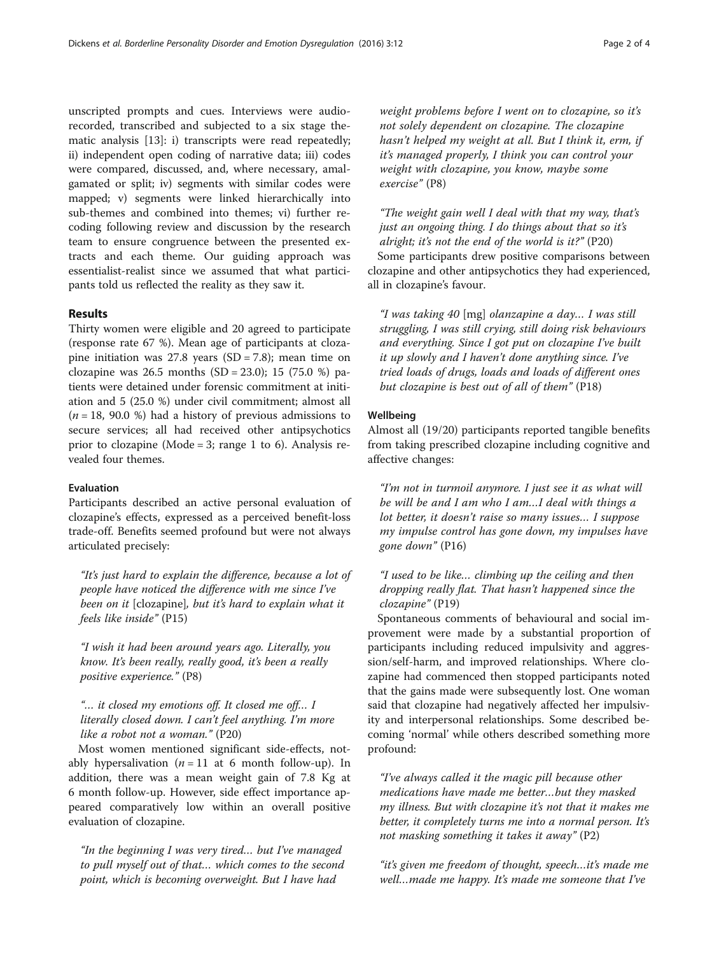unscripted prompts and cues. Interviews were audiorecorded, transcribed and subjected to a six stage thematic analysis [[13\]](#page-3-0): i) transcripts were read repeatedly; ii) independent open coding of narrative data; iii) codes were compared, discussed, and, where necessary, amalgamated or split; iv) segments with similar codes were mapped; v) segments were linked hierarchically into sub-themes and combined into themes; vi) further recoding following review and discussion by the research team to ensure congruence between the presented extracts and each theme. Our guiding approach was essentialist-realist since we assumed that what participants told us reflected the reality as they saw it.

#### Results

Thirty women were eligible and 20 agreed to participate (response rate 67 %). Mean age of participants at clozapine initiation was  $27.8$  years  $(SD = 7.8)$ ; mean time on clozapine was 26.5 months  $(SD = 23.0)$ ; 15 (75.0 %) patients were detained under forensic commitment at initiation and 5 (25.0 %) under civil commitment; almost all  $(n = 18, 90.0 %)$  had a history of previous admissions to secure services; all had received other antipsychotics prior to clozapine (Mode = 3; range 1 to 6). Analysis revealed four themes.

#### Evaluation

Participants described an active personal evaluation of clozapine's effects, expressed as a perceived benefit-loss trade-off. Benefits seemed profound but were not always articulated precisely:

"It's just hard to explain the difference, because a lot of people have noticed the difference with me since I've been on it [clozapine], but it's hard to explain what it feels like inside" (P15)

"I wish it had been around years ago. Literally, you know. It's been really, really good, it's been a really positive experience." (P8)

## "… it closed my emotions off. It closed me off… I literally closed down. I can't feel anything. I'm more like a robot not a woman." (P20)

Most women mentioned significant side-effects, notably hypersalivation ( $n = 11$  at 6 month follow-up). In addition, there was a mean weight gain of 7.8 Kg at 6 month follow-up. However, side effect importance appeared comparatively low within an overall positive evaluation of clozapine.

"In the beginning I was very tired… but I've managed to pull myself out of that… which comes to the second point, which is becoming overweight. But I have had

weight problems before I went on to clozapine, so it's not solely dependent on clozapine. The clozapine hasn't helped my weight at all. But I think it, erm, if it's managed properly, I think you can control your weight with clozapine, you know, maybe some exercise" (P8)

"The weight gain well I deal with that my way, that's just an ongoing thing. I do things about that so it's alright; it's not the end of the world is it?" (P20) Some participants drew positive comparisons between clozapine and other antipsychotics they had experienced, all in clozapine's favour.

"I was taking 40 [mg] olanzapine a day… I was still struggling, I was still crying, still doing risk behaviours and everything. Since I got put on clozapine I've built it up slowly and I haven't done anything since. I've tried loads of drugs, loads and loads of different ones but clozapine is best out of all of them" (P18)

#### Wellbeing

Almost all (19/20) participants reported tangible benefits from taking prescribed clozapine including cognitive and affective changes:

"I'm not in turmoil anymore. I just see it as what will be will be and I am who I am…I deal with things a lot better, it doesn't raise so many issues… I suppose my impulse control has gone down, my impulses have gone down" (P16)

## "I used to be like… climbing up the ceiling and then dropping really flat. That hasn't happened since the clozapine" (P19)

Spontaneous comments of behavioural and social improvement were made by a substantial proportion of participants including reduced impulsivity and aggression/self-harm, and improved relationships. Where clozapine had commenced then stopped participants noted that the gains made were subsequently lost. One woman said that clozapine had negatively affected her impulsivity and interpersonal relationships. Some described becoming 'normal' while others described something more profound:

"I've always called it the magic pill because other medications have made me better…but they masked my illness. But with clozapine it's not that it makes me better, it completely turns me into a normal person. It's not masking something it takes it away" (P2)

"it's given me freedom of thought, speech…it's made me well…made me happy. It's made me someone that I've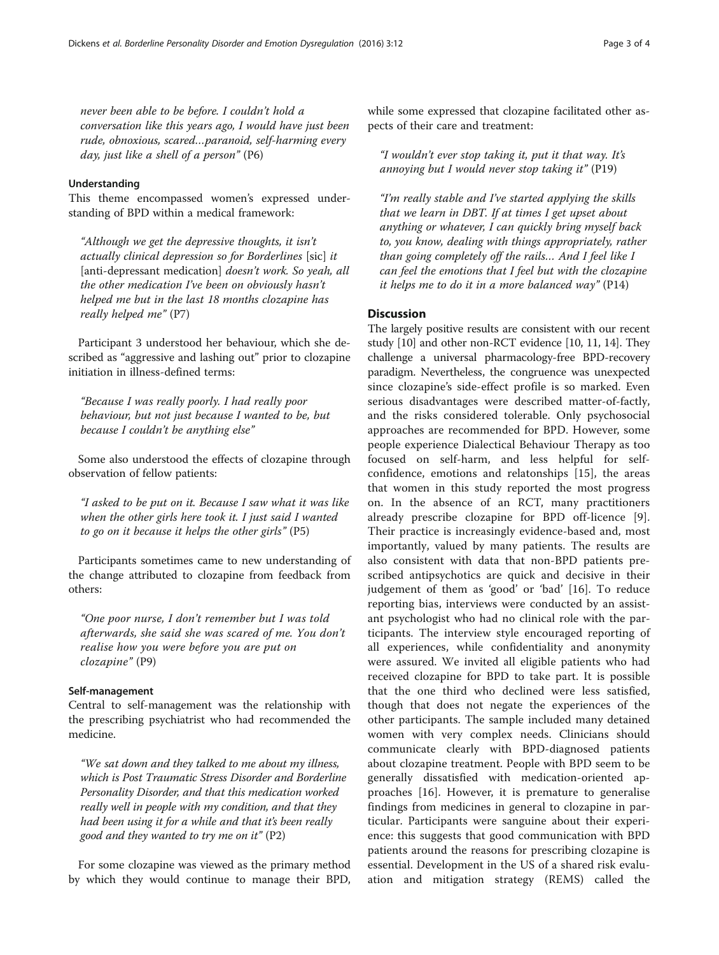never been able to be before. I couldn't hold a conversation like this years ago, I would have just been rude, obnoxious, scared…paranoid, self-harming every day, just like a shell of a person" (P6)

#### Understanding

This theme encompassed women's expressed understanding of BPD within a medical framework:

"Although we get the depressive thoughts, it isn't actually clinical depression so for Borderlines [sic] it [anti-depressant medication] doesn't work. So yeah, all the other medication I've been on obviously hasn't helped me but in the last 18 months clozapine has really helped me" (P7)

Participant 3 understood her behaviour, which she described as "aggressive and lashing out" prior to clozapine initiation in illness-defined terms:

"Because I was really poorly. I had really poor behaviour, but not just because I wanted to be, but because I couldn't be anything else"

Some also understood the effects of clozapine through observation of fellow patients:

"I asked to be put on it. Because I saw what it was like when the other girls here took it. I just said I wanted to go on it because it helps the other girls" (P5)

Participants sometimes came to new understanding of the change attributed to clozapine from feedback from others:

"One poor nurse, I don't remember but I was told afterwards, she said she was scared of me. You don't realise how you were before you are put on clozapine" (P9)

### Self-management

Central to self-management was the relationship with the prescribing psychiatrist who had recommended the medicine.

"We sat down and they talked to me about my illness, which is Post Traumatic Stress Disorder and Borderline Personality Disorder, and that this medication worked really well in people with my condition, and that they had been using it for a while and that it's been really good and they wanted to try me on it" (P2)

For some clozapine was viewed as the primary method by which they would continue to manage their BPD, while some expressed that clozapine facilitated other aspects of their care and treatment:

"I wouldn't ever stop taking it, put it that way. It's annoying but I would never stop taking it" (P19)

"I'm really stable and I've started applying the skills that we learn in DBT. If at times I get upset about anything or whatever, I can quickly bring myself back to, you know, dealing with things appropriately, rather than going completely off the rails… And I feel like I can feel the emotions that I feel but with the clozapine it helps me to do it in a more balanced way" (P14)

## **Discussion**

The largely positive results are consistent with our recent study [\[10\]](#page-3-0) and other non-RCT evidence [\[10](#page-3-0), [11, 14](#page-3-0)]. They challenge a universal pharmacology-free BPD-recovery paradigm. Nevertheless, the congruence was unexpected since clozapine's side-effect profile is so marked. Even serious disadvantages were described matter-of-factly, and the risks considered tolerable. Only psychosocial approaches are recommended for BPD. However, some people experience Dialectical Behaviour Therapy as too focused on self-harm, and less helpful for selfconfidence, emotions and relatonships [[15](#page-3-0)], the areas that women in this study reported the most progress on. In the absence of an RCT, many practitioners already prescribe clozapine for BPD off-licence [\[9](#page-3-0)]. Their practice is increasingly evidence-based and, most importantly, valued by many patients. The results are also consistent with data that non-BPD patients prescribed antipsychotics are quick and decisive in their judgement of them as 'good' or 'bad' [\[16](#page-3-0)]. To reduce reporting bias, interviews were conducted by an assistant psychologist who had no clinical role with the participants. The interview style encouraged reporting of all experiences, while confidentiality and anonymity were assured. We invited all eligible patients who had received clozapine for BPD to take part. It is possible that the one third who declined were less satisfied, though that does not negate the experiences of the other participants. The sample included many detained women with very complex needs. Clinicians should communicate clearly with BPD-diagnosed patients about clozapine treatment. People with BPD seem to be generally dissatisfied with medication-oriented approaches [[16\]](#page-3-0). However, it is premature to generalise findings from medicines in general to clozapine in particular. Participants were sanguine about their experience: this suggests that good communication with BPD patients around the reasons for prescribing clozapine is essential. Development in the US of a shared risk evaluation and mitigation strategy (REMS) called the